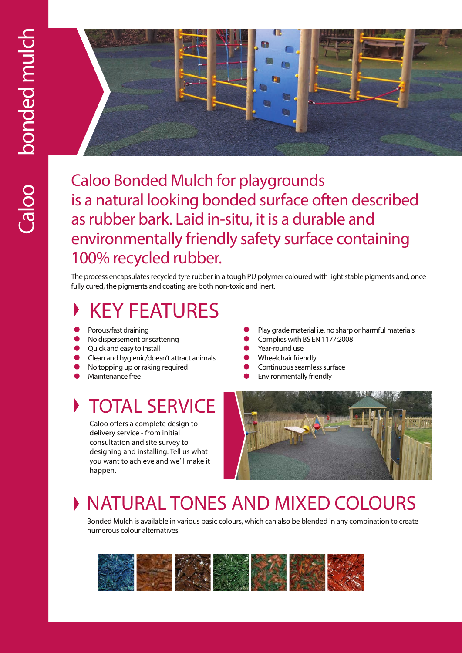

Caloo Bonded Mulch for playgrounds is a natural looking bonded surface often described as rubber bark. Laid in-situ, it is a durable and environmentally friendly safety surface containing 100% recycled rubber.

The process encapsulates recycled tyre rubber in a tough PU polymer coloured with light stable pigments and, once fully cured, the pigments and coating are both non-toxic and inert.

# KEY FEATURES

- Porous/fast draining
- No dispersement or scattering
- Quick and easy to install
- Clean and hygienic/doesn't attract animals
- No topping up or raking required
- Maintenance free

### TOTAL SERVICE

Caloo offers a complete design to delivery service - from initial consultation and site survey to designing and installing. Tell us what you want to achieve and we'll make it happen.

- Play grade material i.e. no sharp or harmful materials
- Complies with BS EN 1177:2008
- Year-round use
- Wheelchair friendly
- Continuous seamless surface
- Environmentally friendly



## NATURAL TONES AND MIXED COLOURS

Bonded Mulch is available in various basic colours, which can also be blended in any combination to create numerous colour alternatives.